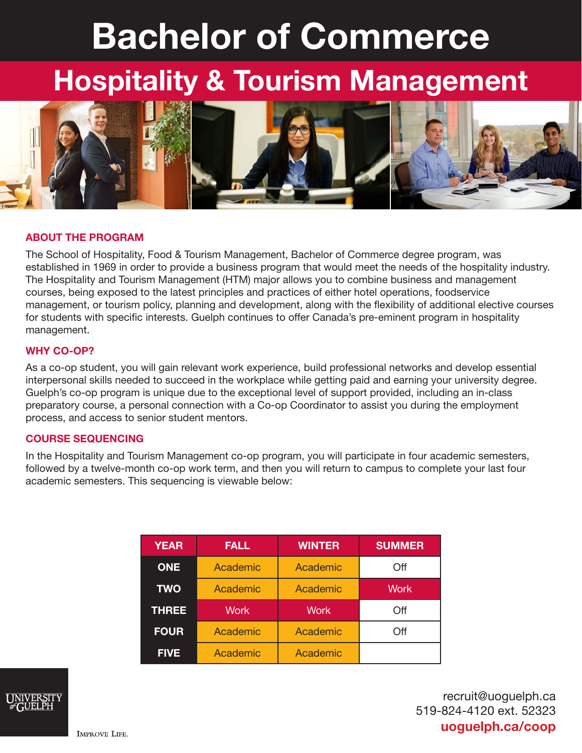# Bachelor of Commerce

## Hospitality & Tourism Management



#### ABOUT THE PROGRAM

The School of Hospitality, Food & Tourism Management, Bachelor of Commerce degree program, was established in 1969 in order to provide a business program that would meet the needs of the hospitality industry. The Hospitality and Tourism Management (HTM) major allows you to combine business and management courses, being exposed to the latest principles and practices of either hotel operations, foodservice management, or tourism policy, planning and development, along with the flexibility of additional elective courses for students with specific interests. Guelph continues to offer Canada's pre-eminent program in hospitality management.

#### WHY CO-OP?

As a co-op student, you will gain relevant work experience, build professional networks and develop essential interpersonal skills needed to succeed in the workplace while getting paid and earning your university degree. Guelph's co-op program is unique due to the exceptional level of support provided, including an in-class preparatory course, a personal connection with a Co-op Coordinator to assist you during the employment process, and access to senior student mentors.

#### COURSE SEQUENCING

In the Hospitality and Tourism Management co-op program, you will participate in four academic semesters, followed by a twelve-month co-op work term, and then you will return to campus to complete your last four academic semesters. This sequencing is viewable below:

| <b>YEAR</b>  | <b>FALL</b> | <b>WINTER</b> | <b>SUMMER</b> |
|--------------|-------------|---------------|---------------|
| <b>ONE</b>   | Academic    | Academic      | Off           |
| <b>TWO</b>   | Academic    | Academic      | <b>Work</b>   |
| <b>THREE</b> | <b>Work</b> | <b>Work</b>   | Off           |
|              |             |               |               |
| <b>FOUR</b>  | Academic    | Academic      | Off           |



recruit@uoguelph.ca 519-824-4120 ext. 52323 uoguelph.ca/coop